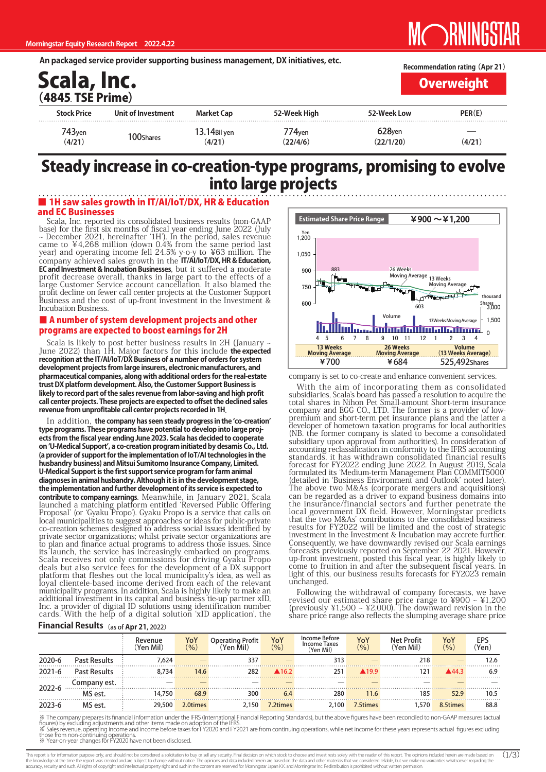An packaged service provider supporting business management, DX initiatives, etc.

| Scala, Inc.<br>(4845. TSE Prime) |                    | Recommendation rating (Apr 21)<br><b>Overweight</b> |              |                    |        |
|----------------------------------|--------------------|-----------------------------------------------------|--------------|--------------------|--------|
| <b>Stock Price</b>               | Unit of Investment | <b>Market Cap</b>                                   | 52-Week High | 52-Week Low        | PER(E) |
| 743 <sub>yen</sub>               |                    | 13.14Bil yen                                        | 774yen       | 628 <sub>ven</sub> |        |
| (4/21)                           | 100Shares          | (4/21)                                              | (22/4/6)     | (22/1/20)          | (4/21) |

# Steady increase in co-creation-type programs, promising to evolve into large projects

### ■ 1H saw sales growth in IT/AI/IoT/DX, HR & Education and EC Businesses

Scala, Inc. reported its consolidated business results (non-GAAP base) for the first six months of fiscal year ending June 2022 (July  $\sim$  December 2021, hereinafter '1H'). In the period, sales revenue came to  $44,268$  million (down 0.4% from the same period last year) and operating income fell 24.5% y-o-y to ¥63 million. The company achieved sales growth in the **IT/AI/IoT/DX, HR & Education, EC** and Investment & Incubation Businesses, but it suffered a moderate profit decrease overall, thanks in large part to the effects of a large Customer Service account cancellation. It also blamed the profit decline on fewer call center projects at the Customer Support Business and the cost of up-front investment in the Investment & **Incubation Business** 

### ■ A number of system development projects and other programs are expected to boost earnings for 2H

Scala is likely to post better business results in 2H (January -June 2022) than 1H. Major factors for this include the expected recognition at the IT/AI/IoT/DX Business of a number of orders for system development projects from large insurers, electronic manufacturers, and pharmaceutical companies, along with additional orders for the real-estate trust DX platform development. Also, the Customer Support Business is likely to record part of the sales revenue from labor-saving and high profit call center projects. These projects are expected to offset the declined sales revenue from unprofitable call center projects recorded in 1H.

In addition, the company has seen steady progress in the 'co-creation' ects from the fiscal year ending June 2023. Scala has decided to cooperate type programs. These programs have potential to develop into large projon 'U-Medical Support', a co-creation program initiated by desamis Co., Ltd. (a provider of support for the implementation of loT/AI technologies in the husbandry business) and Mitsui Sumitomo Insurance Company, Limited. **U-Medical Support is the first support service program for farm animal** diagnoses in animal husbandry. Although it is in the development stage, the implementation and further development of its service is expected to contribute to company earnings. Meanwhile, in January 2021, Scala launched a matching platform entitled 'Reversed Public Offering Proposal' (or 'Gyaku Pr̄opo'). Gyaku Propo is a service that calls on local municipalities to suggest approaches or ideas for public-private co-creation schemes designed to address social issues identified by private sector organizations; whilst private sector organizations are to plan and finance actual programs to address those issues. Since its launch, the service has increasingly embarked on programs. Scala receives not only commissions for driving Gyaku Propo deals but also service fees for the development of a DX support platform that fleshes out the local municipality's idea, as well as loyal clientele-based income derived from each of the relevant municipality programs. In addition, Scala is highly likely to make an additional investment in its capital and business tie-up partner xID, Inc. a provider of digital ID solutions using identification number cards. With the help of a digital solution 'xID application', the



company is set to co-create and enhance convenient services.

With the aim of incorporating them as consolidated subsidiaries, Scala's board has passed a resolution to acquire the total shares in Nihon Pet Small-amount Short-term insurance company and EGG CO., LTD. The former is a provider of low-<br>premium and short-term pet insurance plans and the latter a company and EGG CO., LTD. The former is a provider of lowdeveloper of hometown taxation programs for local authorities (NB. the former company is slated to become a consolidated subsidiary upon approval from authorities). In consideration of accounting reclassification in conformity to the IFRS accounting standards, it has withdrawn consolidated financial results forecast for FY2022 ending June 2022. In August 2019, Scala formulated its 'Medium-term Management Plan COMMIT5000' (detailed in 'Business Environment and Outlook' noted later). The above two M&As (corporate mergers and acquisitions) can be regarded as a driver to expand business domains into the insurance/financial sectors and further penetrate the local government DX field. However, Morningstar predicts that the two M&As' contributions to the consolidated business results for FY2022 will be limited and the cost of strategic investment in the Investment & Incubation may accrete further. Consequently, we have downwardly revised our Scala earnings forecasts previously reported on September 22 2021. However, up-front investment, posted this fiscal year, is highly likely to come to fruition in and after the subsequent fiscal years. In light of this, our business results forecasts for FY2023 remain unchanged.

Following the withdrawal of company forecasts, we have revised our estimated share price range to  $\frac{4900}{6}$  ~  $\frac{1200}{60}$ (previously  $\yen$ 1,500 ~  $\yen$ 2,000). The downward revision in the share price range also reflects the slumping average share price

### **Financial Results** (as of Apr 21, 2022)

|            |                     | Revenue<br>Yen Mil` | Yo<br>(9/6) | Operating Profit<br>(Yen Mil) | YoY<br>(%)            | Income Before<br><b>Income Taxes</b><br>(Yen Mil) | YoY<br>(%)            | Net Profit<br>Yen Mil` | YoY<br>(%) | EP.<br>Yen |
|------------|---------------------|---------------------|-------------|-------------------------------|-----------------------|---------------------------------------------------|-----------------------|------------------------|------------|------------|
| 2020-6     | <b>Past Results</b> | 7.624               |             | 337                           |                       | 313                                               |                       | 218                    |            | 12.6       |
| $2021 - 6$ | <b>Past Results</b> | 8.734               | 14.6        | 282                           | $\blacktriangle$ 16.2 | 251                                               | $\blacktriangle$ 19.9 |                        | ⊾44 २      | 6.9        |
| $2022 - 6$ | Company est.        |                     |             |                               |                       |                                                   |                       |                        |            |            |
|            | MS est.             | 14.750              | 68.9        | 300                           | 6.4                   | 280                                               | 11.6                  | 185                    | 52.9       | 10.5       |
| 2023-6     | MS est.             | 29,500              | 2.0times    | 2.150                         | 7.2times              | 2,100                                             | 7.5times              | .570                   | 8.5times   | 88.8       |

※ The company prepares its financial information under the IFRS (International Financial Reporting Standards), but the above figures have been reconciled to non-GAAP measures (actual<br>figures) by excluding adjustments and o

 $(1/\overline{3})$ This report is for information purpose only, and should not be considered a solicitation to buy or sell any security. Final decision on which stock to choose and invest rests solely with the reader of this report. The opin the knowledge at the time the report was created and are subject to change without notice. The opinions and data included herein are based on the data and other materials that we considered reliable, but we make no warrant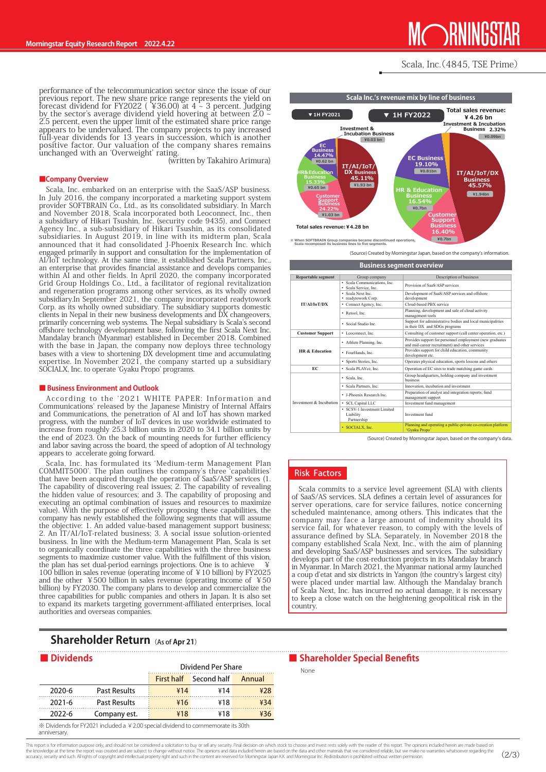# **ORNINGS**

### Scala, Inc. (4845, TSE Prime)

performance of the telecommunication sector since the issue of our previous report. The new share price range represents the yield on forecast dividend for FY2022 (  $\angle$  36.00) at 4  $\sim$  3 percent. Judging by the sector's average dividend yield hovering at between 2.0  $\approx$ 2.5 percent, even the upper limit of the estimated share price range appears to be undervalued. The company projects to pay increased full-year dividends for 13 years in succession, which is another positive factor. Our valuation of the company shares remains unchanged with an 'Overweight' rating.

(written by Takahiro Arimura)

#### **Company Overview**

Scala, Inc. embarked on an enterprise with the SaaS/ASP business. In July 2016, the company incorporated a marketing support system provider SOFTBRAIN Co., Ltd., as its consolidated subsidiary. In March and November 2018, Scala incorporated both Leoconnect, Inc., then a subsidiary of Hikari Tsushin, Inc. (security code 9435), and Connect Agency Inc., a sub-subsidiary of Hikari Tsushin, as its consolidated subsidiaries. In August 2019, in line with its midterm plan, Scala announced that it had consolidated J-Phoenix Research Inc. which engaged primarily in support and consultation for the implementation of AI/IoT technology. At the same time, it established Scala Partners, Inc., companies develops and assistance and develops companies within AI and other fields. In April 2020, the company incorporated review regional regional regional revitalization Grid Group Holdings Co., Ltd., a facilitator of regional revitalization and regeneration programs among other services, as its wholly owned subsidiary. In September 2021, the company incorporated readytowork Corp. as its wholly owned subsidiary. The subsidiary supports domestic clients in Nepal in their new business developments and DX changeovers. primarily concerning web systems. The Nepal subsidiary is Scala's second offshore technology development base, following the first Scala Next Inc. Mandalay branch (Myanmar) established in December 2018. Combined with the base in Japan, the company now deploys three technology bases with a view to shortening DX development time and accumulating expertise. In November 2021, the company started up a subsidiary SOCIALX, Inc. to operate 'Gyaku Propo' programs.

### ■ Business Environment and Outlook

According to the '2021 WHITE PAPER: Information and Communications' released by the Japanese Ministry of Internal Affairs and Communications, the penetration of AI and IoT has shown marked progress, with the number of IoT devices in use worldwide estimated to increase from roughly 25.3 billion units in 2020 to 34.1 billion units by the end of 2023. On the back of mounting needs for further efficiency and labor saving across the board, the speed of adoption of AI technology appears to accelerate going forward.

Scala, Inc. has formulated its 'Medium-term Management Plan COMMIT5000'. The plan outlines the company's three 'capabilities' that have been acquired through the operation of SaaS/ASP services (1. The capability of discovering real issues; 2. The capability of revealing the hidden value of resources; and 3. The capability of proposing and executing an optimal combination of issues and resources to maximize value). With the purpose of effectively proposing these capabilities, the company has newly established the following segments that will assume the objective: 1. An added value-based management support business; 2. An IT/AI/IoT-related business; 3. A social issue solution-oriented business. In line with the Medium-term Management Plan, Scala is set to organically coordinate the three capabilities with the three business segments to maximize customer value. With the fulfillment of this vision, the plan has set dual-period earnings projections. One is to achieve 100 billion in sales revenue (operating income of  $\frac{1}{2}$  10 billion) by FY2025 and the other  $\frac{1}{2}500$  billion in sales revenue (operating income of  $\frac{1}{2}50$ billion) by FY2030. The company plans to develop and commercialize the three capabilities for public companies and others in Japan. It is also set to expand its markets targeting government-affiliated enterprises, local authorities and overseas companies

### **Shareholder Return** (As of Apr 21)

| <b>Dividends</b> |                     | <b>Dividend Per Share</b> |             |        |  |
|------------------|---------------------|---------------------------|-------------|--------|--|
|                  |                     | <b>First half</b>         | Second half | Annual |  |
| 2020-6           | <b>Past Results</b> | ¥14                       | ¥14         | ¥28    |  |
| $2021 - 6$       | <b>Past Results</b> | ¥16                       | ¥18         | ¥34    |  |
| 2022-6           | Company est.        | ¥18                       | ¥18         |        |  |

ds for FY2021 included a ¥2.00 special dividend to commemorate its 30th .anniversary



*K* **When SOFTBRAIN Group companies became discontinued operations, Scala recomposed its business lines to five segments.** 

(Source) Created by Morningstar Japan, based on the company's information.

| <b>Business segment overview</b> |                                                         |                                                                                                            |  |  |  |  |
|----------------------------------|---------------------------------------------------------|------------------------------------------------------------------------------------------------------------|--|--|--|--|
| <b>Reportable segment</b>        | Group company                                           | Description of business                                                                                    |  |  |  |  |
|                                  | · Scala Communications, Inc.<br>Scala Service, Inc.     | Provision of SaaS/ASP services                                                                             |  |  |  |  |
|                                  | Scala Next Inc.<br>• readytowork Corp.                  | Development of SaaS/ASP services and offshore<br>development                                               |  |  |  |  |
| IT/AI/IoT/DX                     | • Connect Agency, Inc.                                  | Cloud-based PBX service                                                                                    |  |  |  |  |
|                                  | • Retool, Inc.                                          | Planning, development and sale of cloud activity<br>management tools                                       |  |  |  |  |
|                                  | · Social Studio Inc.                                    | Support for administrative bodies and local municipalities<br>in their DX and SDGs programs                |  |  |  |  |
| <b>Customer Support</b>          | • Leoconnect, Inc.                                      | Consulting of customer support (call center operation, etc.)                                               |  |  |  |  |
|                                  | • Athlete Planning, Inc.                                | Provides support for personnel employment (new graduates<br>and mid-career recruitment) and other services |  |  |  |  |
| HR & Education                   | · FourHands, Inc.                                       | Provides support for child education, community<br>development etc.                                        |  |  |  |  |
|                                  | · Sports Stories, Inc.                                  | Operates physical education, sports lessons and others                                                     |  |  |  |  |
| EC                               | · Scala PLAYce, Inc.                                    | Operation of EC sites to trade matching game cards                                                         |  |  |  |  |
|                                  | · Scala, Inc.                                           | Group headquarters, holding company and investment<br><b>business</b>                                      |  |  |  |  |
|                                  | · Scala Partners, Inc.                                  | Innovation, incubation and investment                                                                      |  |  |  |  |
|                                  | · J-Phoenix Research Inc.                               | Preparation of analyst and integration reports; fund<br>management support                                 |  |  |  |  |
| Investment & Incubation          | · SCL Capital LLC                                       | Investment fund management                                                                                 |  |  |  |  |
|                                  | • SCSV-1 Investment Limited<br>Liability<br>Partnership | Investment fund                                                                                            |  |  |  |  |
|                                  | · SOCIALX. Inc.                                         | Planning and operating a public-private co-creation platform<br>'Gyaku Propo'                              |  |  |  |  |

(Source) Created by Morningstar Japan, based on the company's data

### **Risk Factors**

Scala commits to a service level agreement (SLA) with clients for assurances of SaaS/AS services. SLA defines a certain level of assurances for server operations, care for service failures, notice concerning scheduled maintenance, among others. This indicates that the company may face a large amount of indemnity should its service fail, for whatever reason, to comply with the levels of assurance defined by SLA. Separately, in November 2018 the company established Scala Next, Inc., with the aim of planning and developing SaaS/ASP businesses and services. The subsidiary develops part of the cost-reduction projects in its Mandalay branch in Myanmar. In March 2021, the Myanmar national army launched a coup d'etat and six districts in Yangon (the country's largest city) were placed under martial law. Although the Mandalay branch of Scala Next, Inc. has incurred no actual damage, it is necessary to keep a close watch on the heightening geopolitical risk in the .country

### ■ Shareholder Special Benefits

None

This report is for information purpose only, and should not be considered a solicitation to buy or sell any security. Final decision on which stock to choose and invest rests solely with the reader of this report. The opin the knowledge at the time the report was created and are subject to change without notice. The opinions and data included herein are based on the data and other materials that we considered reliable, but we make no warrant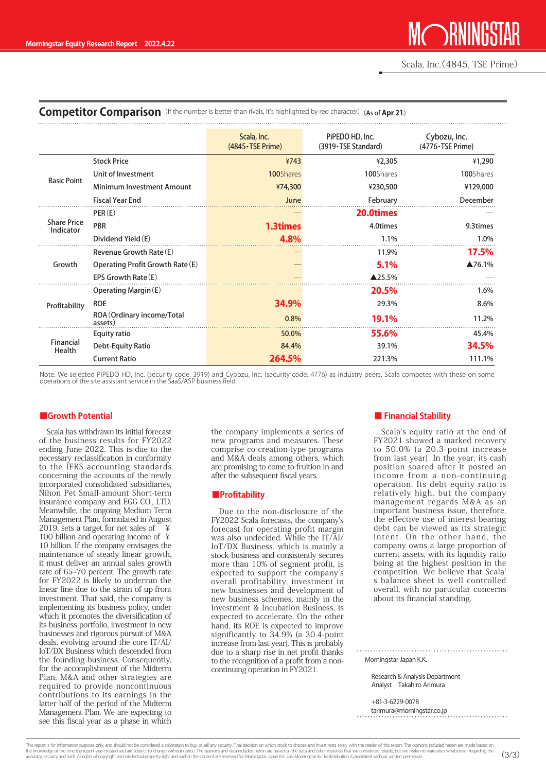### **Competitor Comparison** (If the number is better than rivals, it's highlighted by red character) (As of Apr 21)

|                                 |                                       | Scala, Inc.<br>$(4845 \cdot \text{TSE Prime})$ | PiPEDO HD, Inc.<br>(3919 TSE Standard) | Cybozu, Inc.<br>(4776 · TSE Prime) |
|---------------------------------|---------------------------------------|------------------------------------------------|----------------------------------------|------------------------------------|
|                                 | <b>Stock Price</b>                    | ¥743                                           | ¥2,305                                 | ¥1,290                             |
| <b>Basic Point</b>              | Unit of Investment                    | 100Shares                                      | 100Shares                              | 100Shares                          |
|                                 | <b>Minimum Investment Amount</b>      | ¥74,300                                        | ¥230,500                               | ¥129,000                           |
|                                 | <b>Fiscal Year End</b>                | June                                           | February                               | December                           |
|                                 | PER(E)                                |                                                | 20.0times                              |                                    |
| <b>Share Price</b><br>Indicator | <b>PBR</b>                            | <b>1.3times</b>                                | 4.0times                               | 9.3times                           |
|                                 | Dividend Yield (E)                    | 4.8%                                           | 1.1%                                   | 1.0%                               |
|                                 | Revenue Growth Rate (E)               |                                                | 11.9%                                  | 17.5%                              |
| Growth                          | Operating Profit Growth Rate (E)      |                                                | 5.1%                                   | $\blacktriangle$ 76.1%             |
|                                 | EPS Growth Rate (E)                   |                                                | ▲25.5%                                 |                                    |
| Profitability                   | Operating Margin (E)                  |                                                | <b>20.5%</b>                           | 1.6%                               |
|                                 | <b>ROE</b>                            | 34.9%                                          | 29.3%                                  | 8.6%                               |
|                                 | ROA (Ordinary income/Total<br>assets) | 0.8%                                           | <b>19.1%</b>                           | 11.2%                              |
| Financial<br>Health             | Equity ratio                          | 50.0%                                          | 55.6%                                  | 45.4%                              |
|                                 | Debt-Equity Ratio                     | 84.4%                                          | 39.1%                                  | 34.5%                              |
|                                 | <b>Current Ratio</b>                  | 264.5%                                         | 221.3%                                 | 111.1%                             |

Note: We selected PiPEDO HD, Inc. (security code: 3919) and Cybozu, Inc. (security code: 4776) as industry peers. Scala competes with these on some<br>operations of the site assistant service in the SaaS/ASP business field.

### **Potential**

Scala has withdrawn its initial forecast of the business results for FY2022 ending June 2022. This is due to the necessary reclassification in conformity to the IFRS accounting standards concerning the accounts of the newly incorporated consolidated subsidiaries, Nihon Pet Small-amount Short-term insurance company and EGG CO., LTD. Meanwhile, the ongoing Medium Term Management Plan, formulated in August  $2019$ , sets a target for net sales of 100 billion and operating income of  $\angle$ 10 billion. If the company envisages the maintenance of steady linear growth, it must deliver an annual sales growth rate of 65~70 percent. The growth rate for FY2022 is likely to underrun the linear line due to the strain of up-front investment. That said, the company is implementing its business policy, under which it promotes the diversification of its business portfolio, investment in new businesses and rigorous pursuit of M&A deals, evolving around the core  $IT/AI/$ IoT/DX Business which descended from the founding business. Consequently, for the accomplishment of the Midterm Plan, M&A and other strategies are required to provide noncontinuous contributions to its earnings in the latter half of the period of the Midterm Management Plan. We are expecting to see this fiscal year as a phase in which

the company implements a series of new programs and measures. These comprise co-creation-type programs and M&A deals among others, which are promising to come to fruition in and after the subsequent fiscal years.

### **Profitability■**

Due to the non-disclosure of the FY2022 Scala forecasts, the company's forecast for operating profit margin was also undecided. While the  $IT/\tilde{A}I/$ IoT/DX Business, which is mainly a stock business and consistently secures more than 10% of segment profit, is expected to support the company's overall profitability, investment in new businesses and development of new business schemes, mainly in the Investment & Incubation Business, is expected to accelerate. On the other hand, its ROE is expected to improve significantly to  $34.9\%$  (a 30.4-point increase from last year). This is probably due to a sharp rise in net profit thanks to the recognition of a profit from a non-<br>continuing operation in FY2021.

### ■ Financial Stability

Scala's equity ratio at the end of FY2021 showed a marked recovery to 50.0% (a 20.3-point increase from last year). In the year, its cash position soared after it posted an income from a non-continuing operation. Its debt equity ratio is relatively high, but the company management regards M&A as an important business issue, therefore, the effective use of interest-bearing debt can be viewed as its strategic intent. On the other hand, the company owns a large proportion of current assets, with its liquidity ratio being at the highest position in the competition. We believe that Scala' s balance sheet is well controlled overall, with no particular concerns about its financial standing.

Morningstar, Japan K.K.

Research & Analysis Department Analyst Takahiro Arimura

 +81-3-6229-0078 tarimura@morningstar.co.jp<br>Arimura@morningstar.co.jp